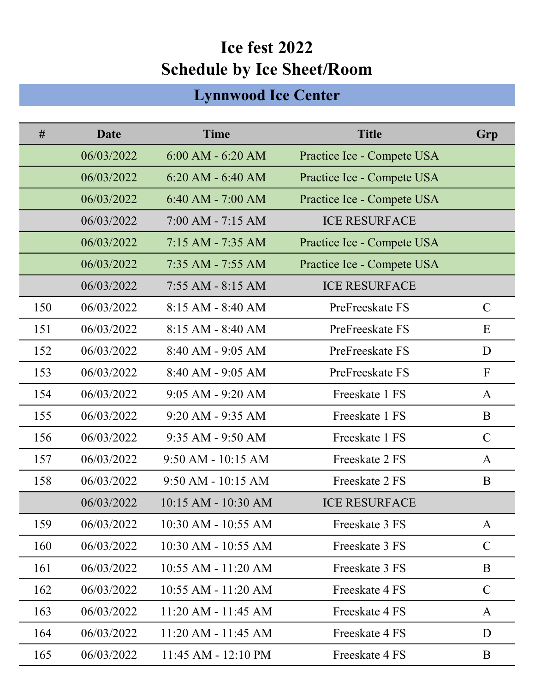## Ice fest 2022 Schedule by Ice Sheet/Room

## Lynnwood Ice Center

| #   | Date       | <b>Time</b>             | <b>Title</b>               | Grp           |
|-----|------------|-------------------------|----------------------------|---------------|
|     | 06/03/2022 | $6:00$ AM $-6:20$ AM    | Practice Ice - Compete USA |               |
|     | 06/03/2022 | $6:20$ AM $-6:40$ AM    | Practice Ice - Compete USA |               |
|     | 06/03/2022 | $6:40$ AM - 7:00 AM     | Practice Ice - Compete USA |               |
|     | 06/03/2022 | $7:00$ AM $-7:15$ AM    | <b>ICE RESURFACE</b>       |               |
|     | 06/03/2022 | $7:15$ AM $-7:35$ AM    | Practice Ice - Compete USA |               |
|     | 06/03/2022 | $7:35$ AM - $7:55$ AM   | Practice Ice - Compete USA |               |
|     | 06/03/2022 | $7:55$ AM - 8:15 AM     | <b>ICE RESURFACE</b>       |               |
| 150 | 06/03/2022 | $8:15$ AM $-8:40$ AM    | PreFreeskate FS            | $\mathcal{C}$ |
| 151 | 06/03/2022 | $8:15$ AM $-8:40$ AM    | PreFreeskate FS            | E             |
| 152 | 06/03/2022 | $8:40$ AM - 9:05 AM     | PreFreeskate FS            | D             |
| 153 | 06/03/2022 | $8:40$ AM - 9:05 AM     | PreFreeskate FS            | $\mathbf{F}$  |
| 154 | 06/03/2022 | $9:05$ AM - $9:20$ AM   | Freeskate 1 FS             | A             |
| 155 | 06/03/2022 | $9:20$ AM - $9:35$ AM   | Freeskate 1 FS             | B             |
| 156 | 06/03/2022 | $9:35$ AM - $9:50$ AM   | Freeskate 1 FS             | $\mathcal{C}$ |
| 157 | 06/03/2022 | $9:50$ AM - 10:15 AM    | Freeskate 2 FS             | $\mathbf{A}$  |
| 158 | 06/03/2022 | $9:50$ AM - 10:15 AM    | Freeskate 2 FS             | B             |
|     | 06/03/2022 | $10:15$ AM - $10:30$ AM | <b>ICE RESURFACE</b>       |               |
| 159 | 06/03/2022 | 10:30 AM - 10:55 AM     | Freeskate 3 FS             | A             |
| 160 | 06/03/2022 | 10:30 AM - 10:55 AM     | Freeskate 3 FS             | $\mathsf{C}$  |
| 161 | 06/03/2022 | $10:55$ AM - $11:20$ AM | Freeskate 3 FS             | B             |
| 162 | 06/03/2022 | $10:55$ AM - $11:20$ AM | Freeskate 4 FS             | $\mathcal{C}$ |
| 163 | 06/03/2022 | $11:20$ AM - $11:45$ AM | Freeskate 4 FS             | A             |
| 164 | 06/03/2022 | $11:20$ AM - $11:45$ AM | Freeskate 4 FS             | D             |
| 165 | 06/03/2022 | 11:45 AM - 12:10 PM     | Freeskate 4 FS             | B             |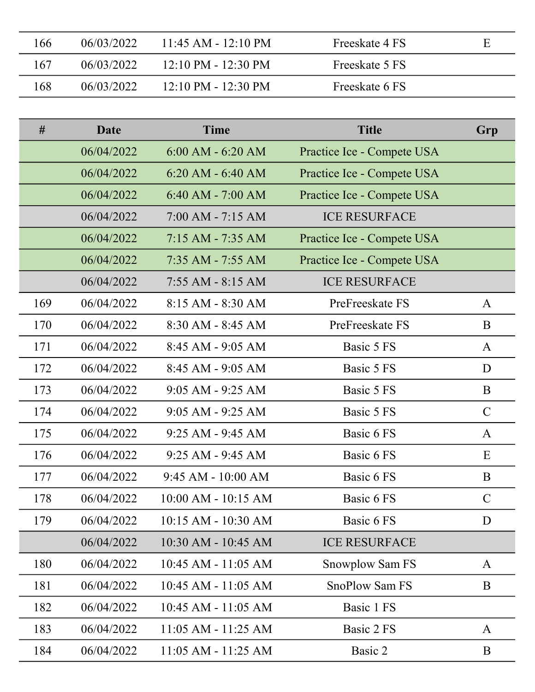| 166 | 06/03/2022 | $11:45$ AM - $12:10$ PM               | Freeskate 4 FS | Ε |
|-----|------------|---------------------------------------|----------------|---|
| 167 | 06/03/2022 | $12:10 \text{ PM} - 12:30 \text{ PM}$ | Freeskate 5 FS |   |
| 168 | 06/03/2022 | $12:10 \text{ PM} - 12:30 \text{ PM}$ | Freeskate 6 FS |   |

| #   | Date       | <b>Time</b>             | <b>Title</b>               | Grp           |
|-----|------------|-------------------------|----------------------------|---------------|
|     | 06/04/2022 | $6:00$ AM - $6:20$ AM   | Practice Ice - Compete USA |               |
|     | 06/04/2022 | $6:20$ AM - $6:40$ AM   | Practice Ice - Compete USA |               |
|     | 06/04/2022 | $6:40$ AM - $7:00$ AM   | Practice Ice - Compete USA |               |
|     | 06/04/2022 | $7:00$ AM - $7:15$ AM   | <b>ICE RESURFACE</b>       |               |
|     | 06/04/2022 | 7:15 AM - 7:35 AM       | Practice Ice - Compete USA |               |
|     | 06/04/2022 | 7:35 AM - 7:55 AM       | Practice Ice - Compete USA |               |
|     | 06/04/2022 | $7:55$ AM - 8:15 AM     | <b>ICE RESURFACE</b>       |               |
| 169 | 06/04/2022 | $8:15 AM - 8:30 AM$     | PreFreeskate FS            | A             |
| 170 | 06/04/2022 | $8:30$ AM - $8:45$ AM   | PreFreeskate FS            | B             |
| 171 | 06/04/2022 | $8:45$ AM - 9:05 AM     | Basic 5 FS                 | A             |
| 172 | 06/04/2022 | $8:45$ AM - 9:05 AM     | Basic 5 FS                 | D             |
| 173 | 06/04/2022 | $9:05$ AM - $9:25$ AM   | Basic 5 FS                 | B             |
| 174 | 06/04/2022 | $9:05$ AM - $9:25$ AM   | Basic 5 FS                 | $\mathcal{C}$ |
| 175 | 06/04/2022 | $9:25$ AM - $9:45$ AM   | Basic 6 FS                 | A             |
| 176 | 06/04/2022 | $9:25$ AM - $9:45$ AM   | Basic 6 FS                 | E             |
| 177 | 06/04/2022 | $9:45 AM - 10:00 AM$    | Basic 6 FS                 | B             |
| 178 | 06/04/2022 | $10:00$ AM - $10:15$ AM | Basic 6 FS                 | $\mathcal{C}$ |
| 179 | 06/04/2022 | $10:15$ AM - $10:30$ AM | Basic 6 FS                 | D             |
|     | 06/04/2022 | $10:30$ AM - $10:45$ AM | <b>ICE RESURFACE</b>       |               |
| 180 | 06/04/2022 | $10:45$ AM - $11:05$ AM | Snowplow Sam FS            | A             |
| 181 | 06/04/2022 | $10:45$ AM - $11:05$ AM | <b>SnoPlow Sam FS</b>      | B             |
| 182 | 06/04/2022 | $10:45$ AM - $11:05$ AM | Basic 1 FS                 |               |
| 183 | 06/04/2022 | $11:05$ AM - $11:25$ AM | Basic 2 FS                 | A             |
| 184 | 06/04/2022 | 11:05 AM - 11:25 AM     | Basic 2                    | B             |